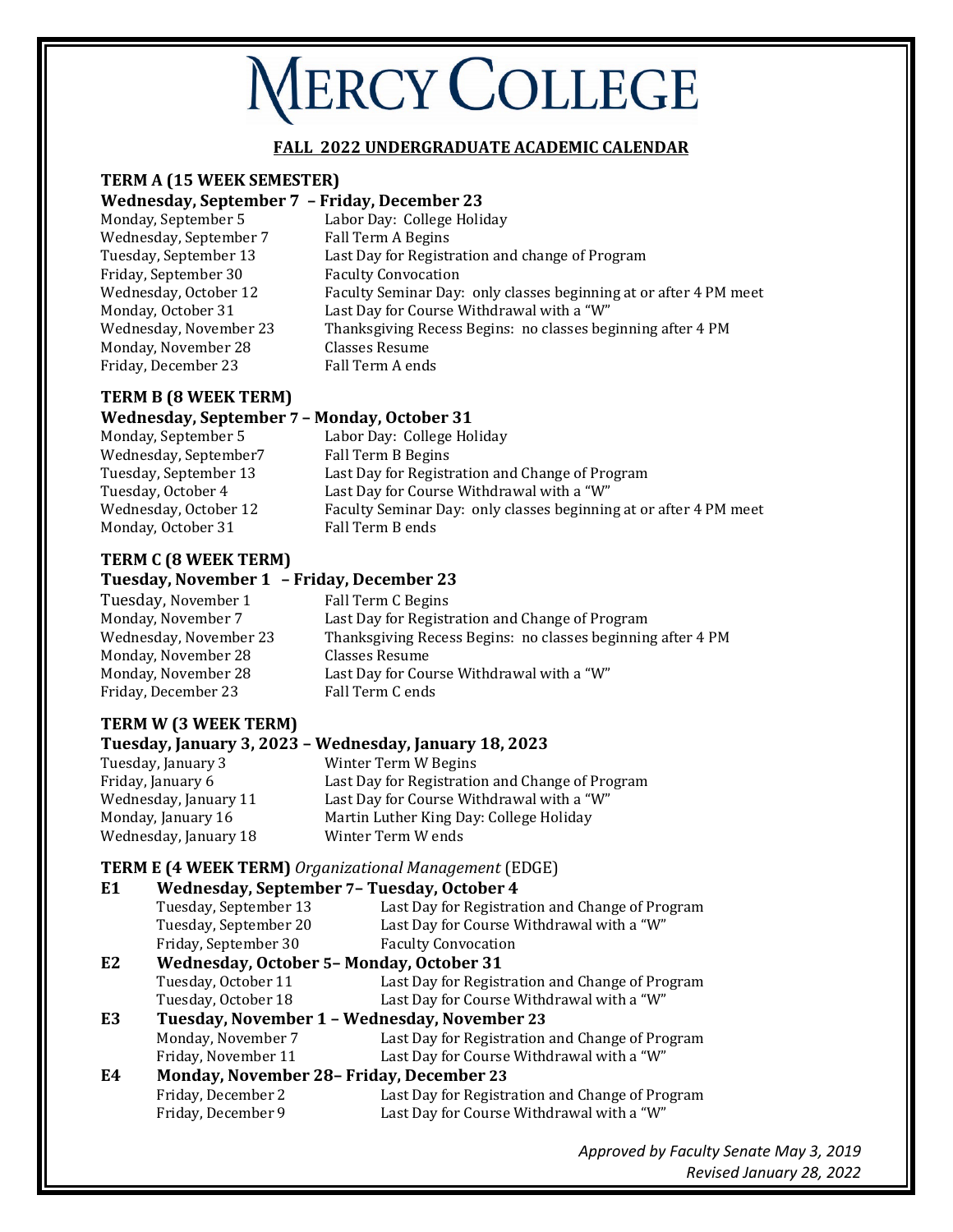# **MERCY COLLEGE**

### **FALL 2022 UNDERGRADUATE ACADEMIC CALENDAR**

# **TERM A (15 WEEK SEMESTER)**

#### **Wednesday, September 7 – Friday, December 23**

|                        | - - - - - - - - - - - - - - - - - -                               |
|------------------------|-------------------------------------------------------------------|
| Monday, September 5    | Labor Day: College Holiday                                        |
| Wednesday, September 7 | Fall Term A Begins                                                |
| Tuesday, September 13  | Last Day for Registration and change of Program                   |
| Friday, September 30   | <b>Faculty Convocation</b>                                        |
| Wednesday, October 12  | Faculty Seminar Day: only classes beginning at or after 4 PM meet |
| Monday, October 31     | Last Day for Course Withdrawal with a "W"                         |
| Wednesday, November 23 | Thanksgiving Recess Begins: no classes beginning after 4 PM       |
| Monday, November 28    | Classes Resume                                                    |
| Friday, December 23    | Fall Term A ends                                                  |
|                        |                                                                   |

# **TERM B (8 WEEK TERM)**

#### **Wednesday, September 7 – Monday, October 31**

| Monday, September 5   | Labor Day: College Holiday                                        |
|-----------------------|-------------------------------------------------------------------|
| Wednesday, September7 | Fall Term B Begins                                                |
| Tuesday, September 13 | Last Day for Registration and Change of Program                   |
| Tuesday, October 4    | Last Day for Course Withdrawal with a "W"                         |
| Wednesday, October 12 | Faculty Seminar Day: only classes beginning at or after 4 PM meet |
| Monday, October 31    | Fall Term B ends                                                  |
|                       |                                                                   |

### **TERM C (8 WEEK TERM)**

# **Tuesday, November 1 – Friday, December 23**

| Tuesday, November 1    | Fall Term C Begins                                          |
|------------------------|-------------------------------------------------------------|
| Monday, November 7     | Last Day for Registration and Change of Program             |
| Wednesday, November 23 | Thanksgiving Recess Begins: no classes beginning after 4 PM |
| Monday, November 28    | Classes Resume                                              |
| Monday, November 28    | Last Day for Course Withdrawal with a "W"                   |
| Friday, December 23    | Fall Term C ends                                            |
|                        |                                                             |

# **TERM W (3 WEEK TERM)**

#### **Tuesday, January 3, 2023 – Wednesday, January 18, 2023** Tuesday, January 3 Winter Term W Begins Friday, January 6 Last Day for Registration and Change of Program<br>Wednesday, January 11 Last Day for Course Withdrawal with a "W" Wednesday, January 11 Last Day for Course Withdrawal with a "W"<br>Monday, January 16 Martin Luther King Day: College Holiday Martin Luther King Day: College Holiday<br>Winter Term W ends Wednesday, January 18

## **TERM E (4 WEEK TERM)** *Organizational Management* (EDGE)

| E <sub>1</sub> | Wednesday, September 7- Tuesday, October 4   |                                                 |
|----------------|----------------------------------------------|-------------------------------------------------|
|                | Tuesday, September 13                        | Last Day for Registration and Change of Program |
|                | Tuesday, September 20                        | Last Day for Course Withdrawal with a "W"       |
|                | Friday, September 30                         | <b>Faculty Convocation</b>                      |
| E <sub>2</sub> | Wednesday, October 5- Monday, October 31     |                                                 |
|                | Tuesday, October 11                          | Last Day for Registration and Change of Program |
|                | Tuesday, October 18                          | Last Day for Course Withdrawal with a "W"       |
| E3             | Tuesday, November 1 - Wednesday, November 23 |                                                 |
|                | Monday, November 7                           | Last Day for Registration and Change of Program |
|                | Friday, November 11                          | Last Day for Course Withdrawal with a "W"       |
| E4             | Monday, November 28- Friday, December 23     |                                                 |
|                | Friday, December 2                           | Last Day for Registration and Change of Program |
|                | Friday, December 9                           | Last Day for Course Withdrawal with a "W"       |
|                |                                              |                                                 |

*Approved by Faculty Senate May 3, 2019 Revised January 28, 2022*